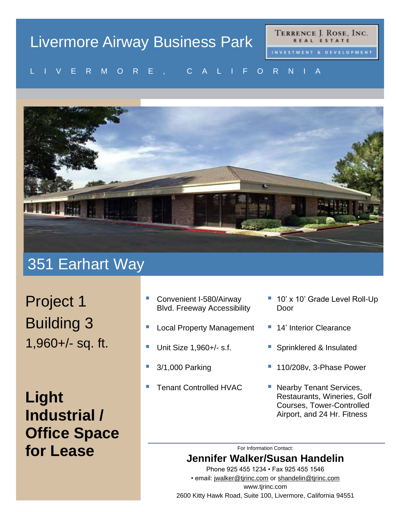# Livermore Airway Business Park

TERRENCE J. ROSE, INC. REAL ESTATE

#### V E R MU R E , U A L I F U R N I A L I V E R M O R E , C A L I F O R N I A



### 351 Earhart Way

Project 1 Building 3 1,960+/- sq. ft.

**Light Industrial / Office Space for Lease**

- Convenient I-580/Airway Blvd. Freeway Accessibility
- **Local Property Management**
- Unit Size 1,960+/- s.f.
- 3/1,000 Parking
- **Tenant Controlled HVAC**
- 10' x 10' Grade Level Roll-Up Door
- 14' Interior Clearance
- Sprinklered & Insulated
- 110/208v, 3-Phase Power
- Nearby Tenant Services, Restaurants, Wineries, Golf Courses, Tower-Controlled Airport, and 24 Hr. Fitness

For Information Contact:

### **Jennifer Walker/Susan Handelin**

Phone 925 455 1234 • Fax 925 455 1546 • email: [jwalker@tjrinc.com](mailto:jwalker@tjrinc.com) or [shandelin@tjrinc.com](mailto:shandelin@tjrinc.com) www.tjrinc.com 2600 Kitty Hawk Road, Suite 100, Livermore, California 94551